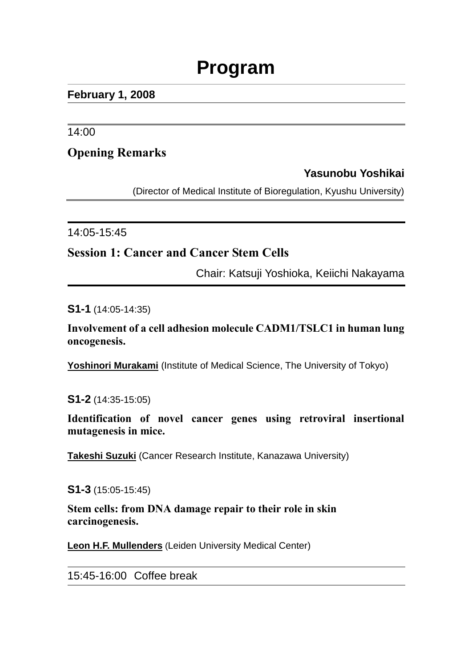# **Program**

#### **February 1, 2008**

14:00

## **Opening Remarks**

## **Yasunobu Yoshikai**

(Director of Medical Institute of Bioregulation, Kyushu University)

14:05-15:45

## **Session 1: Cancer and Cancer Stem Cells**

Chair: Katsuji Yoshioka, Keiichi Nakayama

**S1-1** (14:05-14:35)

**Involvement of a cell adhesion molecule CADM1/TSLC1 in human lung oncogenesis.**

Yoshinori Murakami (Institute of Medical Science, The University of Tokyo)

**S1-2** (14:35-15:05)

**Identification of novel cancer genes using retroviral insertional mutagenesis in mice.**

**Takeshi Suzuki** (Cancer Research Institute, Kanazawa University)

**S1-3** (15:05-15:45)

**Stem cells: from DNA damage repair to their role in skin carcinogenesis.**

**Leon H.F. Mullenders** (Leiden University Medical Center)

15:45-16:00 Coffee break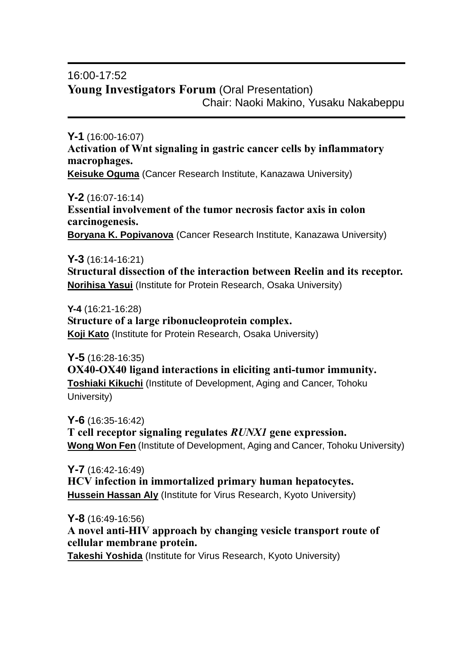## 16:00-17:52 **Young Investigators Forum** (Oral Presentation) Chair: Naoki Makino, Yusaku Nakabeppu

**Y-1** (16:00-16:07) **Activation of Wnt signaling in gastric cancer cells by inflammatory macrophages.**

**Keisuke Oguma** (Cancer Research Institute, Kanazawa University)

**Y-2** (16:07-16:14) **Essential involvement of the tumor necrosis factor axis in colon carcinogenesis. Boryana K. Popivanova** (Cancer Research Institute, Kanazawa University)

**Y-3** (16:14-16:21) **Structural dissection of the interaction between Reelin and its receptor. Norihisa Yasui** (Institute for Protein Research, Osaka University)

**Y-4** (16:21-16:28) **Structure of a large ribonucleoprotein complex. Koji Kato** (Institute for Protein Research, Osaka University)

**Y-5** (16:28-16:35) **OX40-OX40 ligand interactions in eliciting anti-tumor immunity. Toshiaki Kikuchi** (Institute of Development, Aging and Cancer, Tohoku University)

**Y-6** (16:35-16:42) **T cell receptor signaling regulates** *RUNX1* **gene expression. Wong Won Fen** (Institute of Development, Aging and Cancer, Tohoku University)

**Y-7** (16:42-16:49) **HCV infection in immortalized primary human hepatocytes. Hussein Hassan Aly** (Institute for Virus Research, Kyoto University)

**Y-8** (16:49-16:56) **A novel anti-HIV approach by changing vesicle transport route of cellular membrane protein. Takeshi Yoshida** (Institute for Virus Research, Kyoto University)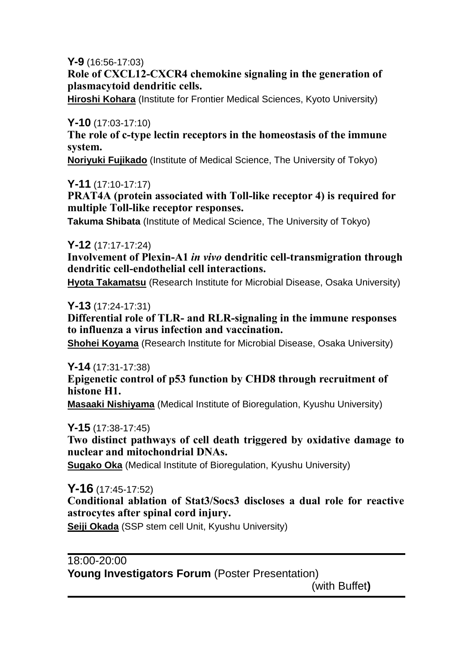**Y-9** (16:56-17:03)

**Role of CXCL12-CXCR4 chemokine signaling in the generation of plasmacytoid dendritic cells.**

**Hiroshi Kohara** (Institute for Frontier Medical Sciences, Kyoto University)

#### **Y-10** (17:03-17:10)

**The role of c-type lectin receptors in the homeostasis of the immune system.**

**Noriyuki Fujikado** (Institute of Medical Science, The University of Tokyo)

#### **Y-11** (17:10-17:17)

**PRAT4A (protein associated with Toll-like receptor 4) is required for multiple Toll-like receptor responses.**

**Takuma Shibata** (Institute of Medical Science, The University of Tokyo)

#### **Y-12** (17:17-17:24)

**Involvement of Plexin-A1** *in vivo* **dendritic cell-transmigration through dendritic cell-endothelial cell interactions.**

**Hyota Takamatsu** (Research Institute for Microbial Disease, Osaka University)

#### **Y-13** (17:24-17:31)

**Differential role of TLR- and RLR-signaling in the immune responses to influenza a virus infection and vaccination.**

**Shohei Koyama** (Research Institute for Microbial Disease, Osaka University)

## **Y-14** (17:31-17:38)

**Epigenetic control of p53 function by CHD8 through recruitment of histone H1.**

**Masaaki Nishiyama** (Medical Institute of Bioregulation, Kyushu University)

**Y-15** (17:38-17:45)

**Two distinct pathways of cell death triggered by oxidative damage to nuclear and mitochondrial DNAs.**

**Sugako Oka** (Medical Institute of Bioregulation, Kyushu University)

**Y-16** (17:45-17:52)

**Conditional ablation of Stat3/Socs3 discloses a dual role for reactive astrocytes after spinal cord injury.**

**Seiji Okada** (SSP stem cell Unit, Kyushu University)

# $18:00 - 20:00$ Young Investigators Forum (Poster Presentation)

(with Buffet**)**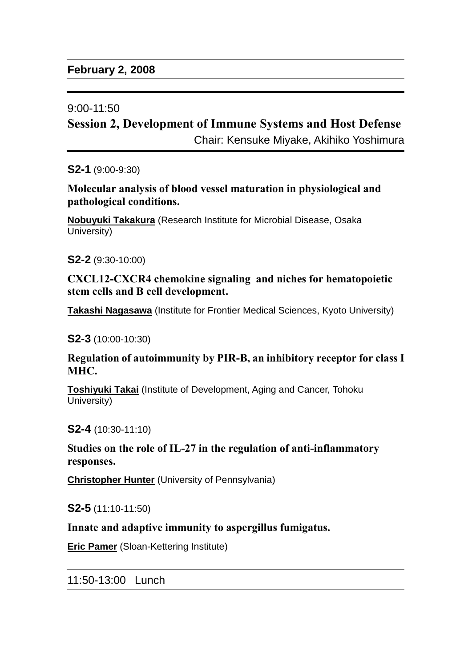#### 9:00-11:50

## **Session 2, Development of Immune Systems and Host Defense**

Chair: Kensuke Miyake, Akihiko Yoshimura

**S2-1** (9:00-9:30)

**Molecular analysis of blood vessel maturation in physiological and pathological conditions.**

**Nobuyuki Takakura** (Research Institute for Microbial Disease, Osaka University)

**S2-2** (9:30-10:00)

**CXCL12-CXCR4 chemokine signaling and niches for hematopoietic stem cells and B cell development.**

**Takashi Nagasawa** (Institute for Frontier Medical Sciences, Kyoto University)

**S2-3** (10:00-10:30)

**Regulation of autoimmunity by PIR-B, an inhibitory receptor for class I MHC.**

**Toshiyuki Takai** (Institute of Development, Aging and Cancer, Tohoku University)

**S2-4** (10:30-11:10)

**Studies on the role of IL-27 in the regulation of anti-inflammatory responses.**

**Christopher Hunter** (University of Pennsylvania)

**S2-5** (11:10-11:50)

**Innate and adaptive immunity to aspergillus fumigatus.**

**Eric Pamer** (Sloan-Kettering Institute)

11:50-13:00 Lunch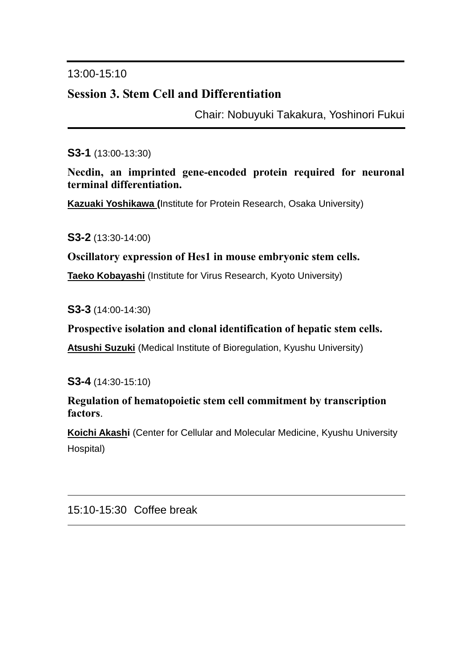## 13:00-15:10

# **Session 3. Stem Cell and Differentiation**

Chair: Nobuyuki Takakura, Yoshinori Fukui

#### **S3-1** (13:00-13:30)

**Necdin, an imprinted gene-encoded protein required for neuronal terminal differentiation.**

**Kazuaki Yoshikawa (**Institute for Protein Research, Osaka University)

**S3-2** (13:30-14:00)

#### **Oscillatory expression of Hes1 in mouse embryonic stem cells.**

**Taeko Kobayashi** (Institute for Virus Research, Kyoto University)

**S3-3** (14:00-14:30)

#### **Prospective isolation and clonal identification of hepatic stem cells.**

**Atsushi Suzuki** (Medical Institute of Bioregulation, Kyushu University)

**S3-4** (14:30-15:10)

**Regulation of hematopoietic stem cell commitment by transcription factors**.

**Koichi Akashi** (Center for Cellular and Molecular Medicine, Kyushu University Hospital)

#### 15:10-15:30 Coffee break